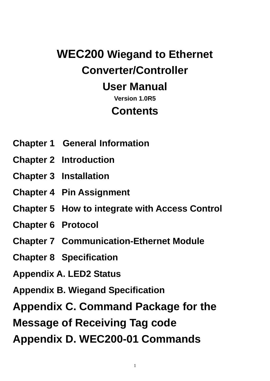# **WEC200 Wiegand to Ethernet Converter/Controller**

### **User Manual**

**Version 1.0R5**

### **Contents**

- **Chapter 1 General Information**
- **Chapter 2 Introduction**
- **Chapter 3 Installation**
- **Chapter 4 Pin Assignment**
- **Chapter 5 How to integrate with Access Control**
- **Chapter 6 Protocol**
- **Chapter 7 Communication-Ethernet Module**
- **Chapter 8 Specification**
- **Appendix A. LED2 Status**
- **Appendix B. Wiegand Specification**
- **Appendix C. Command Package for the**
- **Message of Receiving Tag code**
- **Appendix D. WEC200-01 Commands**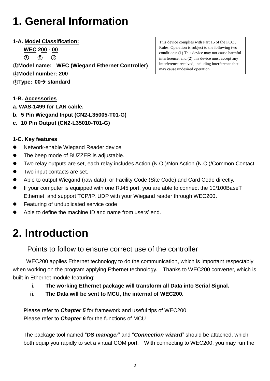## **1. General Information**

#### **1-A. Model Classification:**

#### **WEC 200 - 00**

 $(1)$   $(2)$   $(3)$ 

○**<sup>1</sup> Model name: WEC (Wiegand Ethernet Controller)**

○**<sup>2</sup> Model number: 200**

○**<sup>3</sup> Type: 00 standard**

**1-B. Accessories**

- **a. WAS-1499 for LAN cable.**
- **b. 5 Pin Wiegand Input (CN2-L35005-T01-G)**
- **c. 10 Pin Output (CN2-L35010-T01-G)**

#### **1-C. Key features**

- Network-enable Wiegand Reader device
- The beep mode of BUZZER is adjustable.
- Two relay outputs are set, each relay includes Action (N.O.)/Non Action (N.C.)/Common Contact
- Two input contacts are set.
- Able to output Wiegand (raw data), or Facility Code (Site Code) and Card Code directly.
- If your computer is equipped with one RJ45 port, you are able to connect the 10/100BaseT Ethernet, and support TCP/IP, UDP with your Wiegand reader through WEC200.
- Featuring of unduplicated service code
- Able to define the machine ID and name from users' end.

### **2. Introduction**

Points to follow to ensure correct use of the controller

WEC200 applies Ethernet technology to do the communication, which is important respectably when working on the program applying Ethernet technology. Thanks to WEC200 converter, which is built-in Ethernet module featuring:

- **i. The working Ethernet package will transform all Data into Serial Signal.**
- **ii. The Data will be sent to MCU, the internal of WEC200.**

Please refer to *Chapter 5* for framework and useful tips of WEC200 Please refer to *Chapter 6* for the functions of MCU

The package tool named "*DS manager*" and "*Connection wizard*" should be attached, which both equip you rapidly to set a virtual COM port. With connecting to WEC200, you may run the

This device complies with Part 15 of the FCC . Rules. Operation is subject to the following two conditions: (1) This device may not cause harmful interference, and (2) this device must accept any interference received, including interference that may cause undesired operation.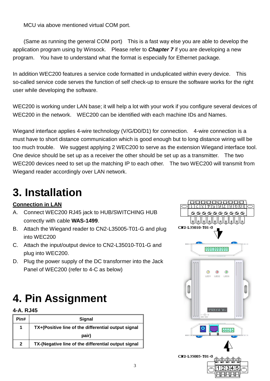MCU via above mentioned virtual COM port.

(Same as running the general COM port) This is a fast way else you are able to develop the application program using by Winsock. Please refer to *Chapter 7* if you are developing a new program. You have to understand what the format is especially for Ethernet package.

In addition WEC200 features a service code formatted in unduplicated within every device. This so-called service code serves the function of self check-up to ensure the software works for the right user while developing the software.

WEC200 is working under LAN base; it will help a lot with your work if you configure several devices of WEC200 in the network. WEC200 can be identified with each machine IDs and Names.

Wiegand interface applies 4-wire technology (V/G/D0/D1) for connection. 4-wire connection is a must have to short distance communication which is good enough but to long distance wiring will be too much trouble. We suggest applying 2 WEC200 to serve as the extension Wiegand interface tool. One device should be set up as a receiver the other should be set up as a transmitter. The two WEC200 devices need to set up the matching IP to each other. The two WEC200 will transmit from Wiegand reader accordingly over LAN network.

## **3. Installation**

#### **Connection in LAN**

- A. Connect WEC200 RJ45 jack to HUB/SWITCHING HUB correctly with cable **WAS-1499**.
- B. Attach the Wiegand reader to CN2-L35005-T01-G and plug into WEC200
- C. Attach the input/output device to CN2-L35010-T01-G and plug into WEC200.
- D. Plug the power supply of the DC transformer into the Jack Panel of WEC200 (refer to 4-C as below)

## **4. Pin Assignment**

**4-A. RJ45**

| Pin# | Signal                                              |
|------|-----------------------------------------------------|
| 1    | TX+(Positive line of the differential output signal |
|      | pair)                                               |
| 2    | TX-(Negative line of the differential output signal |

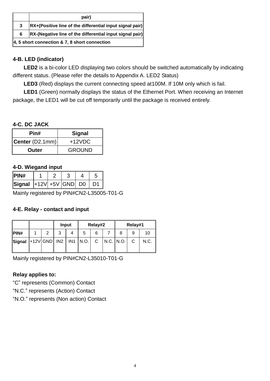|                                               | pair)                                                    |  |  |  |
|-----------------------------------------------|----------------------------------------------------------|--|--|--|
| 3                                             | RX+(Positive line of the differential input signal pair) |  |  |  |
| 6                                             | RX-(Negative line of the differential input signal pair) |  |  |  |
| 4, 5 short connection & 7, 8 short connection |                                                          |  |  |  |

#### **4-B. LED (indicator)**

**LED2** is a bi-color LED displaying two colors should be switched automatically by indicating different status. (Please refer the details to Appendix A. LED2 Status)

**LED3** (Red) displays the current connecting speed at100M. If 10M only which is fail.

**LED1** (Green) normally displays the status of the Ethernet Port. When receiving an Internet package, the LED1 will be cut off temporarily until the package is received entirely.

#### **4-C. DC JACK**

| Pin#                   | <b>Signal</b> |  |  |
|------------------------|---------------|--|--|
| <b>Center</b> (D2.1mm) | $+12VDC$      |  |  |
| <b>Outer</b>           | <b>GROUND</b> |  |  |

#### **4-D. Wiegand input**

| <b>PIN#</b>                                                                             |  |  |  |
|-----------------------------------------------------------------------------------------|--|--|--|
| $\left \text{Signal}\right  + 12V + 5V \left \text{GND}\right  \left  \text{DO}\right $ |  |  |  |

Mainly registered by PIN#CN2-L35005-T01-G

#### **4-E. Relay - contact and input**

|                                                                                  | <b>Input</b> |               | Relay#2 |  | Relay#1 |   |  |   |  |      |
|----------------------------------------------------------------------------------|--------------|---------------|---------|--|---------|---|--|---|--|------|
| PIN#                                                                             |              | $\mathcal{P}$ | 3       |  | 5       | 6 |  | 8 |  | 10   |
| Signal $\ $ +12V GND $\ $ IN2 $\ $ IN1 $\ $ N.O. $\ $ C $\ $ N.C. $\ $ N.O. $\ $ |              |               |         |  |         |   |  |   |  | N.C. |

Mainly registered by PIN#CN2-L35010-T01-G

#### **Relay applies to:**

"C" represents (Common) Contact

"N.C." represents (Action) Contact

"N.O." represents (Non action) Contact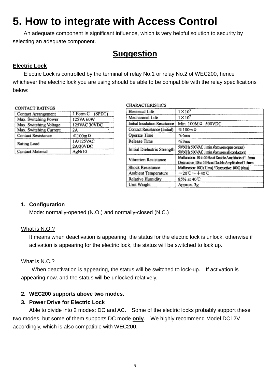### **5. How to integrate with Access Control**

An adequate component is significant influence, which is very helpful solution to security by selecting an adequate component.

### **Suggestion**

#### **Electric Lock**

Electric Lock is controlled by the terminal of relay No.1 or relay No.2 of WEC200, hence whichever the electric lock you are using should be able to be compatible with the relay specifications below:

#### **CONTACT RATINGS**

| Contact Arrangement    | 1 Form C (SPDT) |  |  |  |  |
|------------------------|-----------------|--|--|--|--|
| Max. Switching Power   | 125VA 60W       |  |  |  |  |
| Max. Switching Voltage | 125VAC 30VDC    |  |  |  |  |
| Max. Switching Current | 2Α              |  |  |  |  |
| Contact Resistance     | $≤100$ m Ω      |  |  |  |  |
| Rating Load            | 1A/125VAC       |  |  |  |  |
|                        | 2A/30VDC        |  |  |  |  |
| Contact Material       | AgNi10          |  |  |  |  |

#### **CHARACTERISTICS**

| Electrical Life               | $1 \times 10^5$                                                                                              |
|-------------------------------|--------------------------------------------------------------------------------------------------------------|
| Mechanical Life               | $1 \times 10^7$                                                                                              |
| Initial Insulation Resistance | Min. 100MΩ 500VDC                                                                                            |
| Contact Resistance (Initial)  | $≤100$ m Ω                                                                                                   |
| Operate Time                  | ≤6ms                                                                                                         |
| <b>Release Time</b>           | ≤3 $ms$                                                                                                      |
| Initial Dielectric Strength   | 50/60Hz 500VAC 1 min. (between open contact)<br>50/60Hz 500VAC 1 min. (between all conductors)               |
| Vibration Resistance          | Malfunction: 10 to 55Hz at Double Amplitude of 1.5mm<br>Destructive: 10 to 55Hz at Double Amplitude of 1.5mm |
| <b>Shock Resistance</b>       | Malfunction: 10G (11ms) / Destructive: 100G (6ms)                                                            |
| Ambient Temperature           | $-20^{\circ}\text{C} \sim +40^{\circ}\text{C}$                                                               |
| Relative Humidity             | 85% at 40℃                                                                                                   |
| Unit Weight                   | Approx. 3g                                                                                                   |

#### **1. Configuration**

Mode: normally-opened (N.O.) and normally-closed (N.C.)

#### What is N.O.?

It means when deactivation is appearing, the status for the electric lock is unlock, otherwise if activation is appearing for the electric lock, the status will be switched to lock up.

#### What is N.C.?

When deactivation is appearing, the status will be switched to lock-up. If activation is appearing now, and the status will be unlocked relatively.

#### **2. WEC200 supports above two modes.**

#### **3. Power Drive for Electric Lock**

Able to divide into 2 modes: DC and AC. Some of the electric locks probably support these two modes, but some of them supports DC mode **only**. We highly recommend Model DC12V accordingly, which is also [compatible](http://tw.dictionary.yahoo.com/search?ei=UTF-8&p=compatible) with WEC200.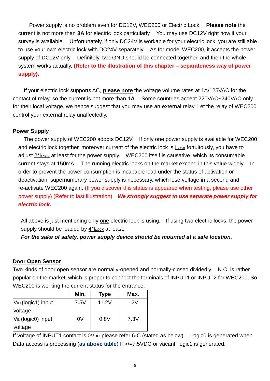Power supply is no problem even for DC12V, WEC200 or Electric Lock. **Please note** the current is not more than **3A** for electric lock particularly. You may use DC12V right now if your survey is available. Unfortunately, if only DC24V is workable for your electric lock, you are still able to use your own electric lock with DC24V separately. As for model WEC200, it accepts the power supply of DC12V only. Definitely, two GND should be connected together, and then the whole system works actually. **(Refer to the illustration of this chapter – separateness way of power supply).**

If your electric lock supports AC, **please note** the voltage volume rates at 1A/125VAC for the contact of relay, so the current is not more than **1A**. Some countries accept 220VAC~240VAC only for their local voltage, we hence suggest that you may use an external relay. Let the relay of WEC200 control your external relay unaffectedly.

#### **Power Supply**

The power supply of WEC200 adopts DC12V. If only one power supply is available for WEC200 and electric lock together, moreover current of the electric lock is  $|_{\text{Lock}}$  fortuitously, you have to adjust  $2^*$ *Lock* at least for the power supply. WEC200 itself is causative, which its consumable [current](http://tw.dictionary.yahoo.com/search?ei=UTF-8&p=capacitance) stays at 150mA. The running electric locks on the market exceed in this value widely. In order to prevent the power consumption is incapable load under the status of activation or deactivation, supernumerary power supply is necessary, which lose [voltage](http://tw.dictionary.yahoo.com/search?ei=UTF-8&p=voltage) in a second and re-activate WEC200 again. (If you discover this status is appeared when testing, please use other power supply) (Refer to last illustration) *We strongly suggest to use separate power supply for electric lock.*

All above is just mentioning only one electric lock is using. If using two electric locks, the power supply should be loaded by  $4^*$ *Lock* at least.

*For the sake of safety, power supply device should be mounted at a safe location.*

#### **Door Open Sensor**

Two kinds of door open sensor are normally-opened and normally-closed dividedly. N.C. is rather popular on the market, which is proper to connect the terminals of INPUT1 or INPUT2 for WEC200. So WEC200 is working the current status for the entrance.

|                                | Min. | <b>Type</b> | Max. |
|--------------------------------|------|-------------|------|
| $VIH$ (logic1) input           | 7.5V | 11.2V       | 12V  |
| voltage                        |      |             |      |
| V <sub>IL</sub> (logic0) input | 0V   | 0.8V        | 7.3V |
| voltage                        |      |             |      |

If voltage of INPUT1 contact is 0V<sub>DC</sub>, please refer 6-C (stated as below). Logic0 is generated when Data access is processing (as above table) If  $\ge$ /=7.5VDC or vacant, logic1 is generated.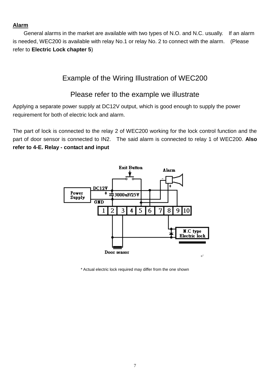#### **Alarm**

General alarms in the market are available with two types of N.O. and N.C. usually. If an alarm is needed, WEC200 is available with relay No.1 or relay No. 2 to connect with the alarm. (Please refer to **Electric Lock chapter 5**)

### Example of the Wiring Illustration of WEC200

#### Please refer to the example we illustrate

Applying a separate power supply at DC12V output, which is good enough to supply the power requirement for both of electric lock and alarm.

The part of lock is connected to the relay 2 of WEC200 working for the lock control function and the part of door sensor is connected to IN2. The said alarm is connected to relay 1 of WEC200. **Also refer to 4-E. Relay - contact and input**



\* Actual electric lock required may differ from the one shown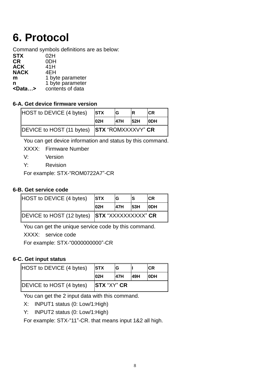### **6. Protocol**

Command symbols definitions are as below:

| <b>STX</b>   | 02H              |
|--------------|------------------|
| <b>CR</b>    | 0DH              |
| <b>ACK</b>   | 41H              |
| <b>NACK</b>  | 4FH              |
| m            | 1 byte parameter |
| n            | 1 byte parameter |
| $<$ Data $>$ | contents of data |

#### **6-A. Get device firmware version**

| $HOST$ to DEVICE (4 bytes)                          | <b>ISTX</b> |     |            | ICR         |
|-----------------------------------------------------|-------------|-----|------------|-------------|
|                                                     | 102H        | 47H | <b>52H</b> | <b>IODH</b> |
| DEVICE to HOST (11 bytes) <b>STX</b> "ROMXXXXVY" CR |             |     |            |             |

You can get device information and status by this command.

XXXX: Firmware Number

- V: Version
- Y: Revision

For example: STX-"ROM0722A7"-CR

#### **6-B. Get service code**

| $HOST$ to DEVICE (4 bytes) | <b>ISTX</b>                                         |     |            | ICR        |
|----------------------------|-----------------------------------------------------|-----|------------|------------|
|                            | 102H                                                | 47H | <b>53H</b> | <b>ODH</b> |
|                            | DEVICE to HOST (12 bytes) <b>STX</b> "XXXXXXXXX" CR |     |            |            |

You can get the unique service code by this command.

XXXX: service code

For example: STX-"0000000000"-CR

#### **6-C. Get input status**

| HOST to DEVICE (4 bytes) | <b>ISTX</b>         |            |     | <b>CR</b> |
|--------------------------|---------------------|------------|-----|-----------|
|                          | 102H                | <b>47H</b> | 49H | I0DH      |
| DEVICE to HOST (4 bytes) | <b>ISTX "XY" CR</b> |            |     |           |

You can get the 2 input data with this command.

X: INPUT1 status (0: Low/1:High)

Y: INPUT2 status (0: Low/1:High)

For example: STX-"11"-CR. that means input 1&2 all high.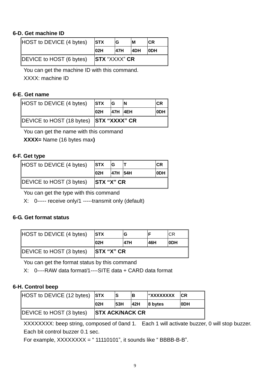#### **6-D. Get machine ID**

| HOST to DEVICE (4 bytes) | <b>ISTX</b>          |     |            | ICR        |  |  |  |
|--------------------------|----------------------|-----|------------|------------|--|--|--|
|                          | 102H                 | 47H | <b>4DH</b> | <b>ODH</b> |  |  |  |
| DEVICE to HOST (6 bytes) | <b>STX "XXXX" CR</b> |     |            |            |  |  |  |

You can get the machine ID with this command. XXXX: machine ID

#### **6-E. Get name**

| HOST to DEVICE (4 bytes)                 | <b>ISTX</b> |         |  | <b>CR</b>  |  |  |  |
|------------------------------------------|-------------|---------|--|------------|--|--|--|
|                                          | 02H         | 47H 4EH |  | <b>ODH</b> |  |  |  |
| DEVICE to HOST (18 bytes)  STX "XXXX" CR |             |         |  |            |  |  |  |

You can get the name with this command

**XXXX=** Name (16 bytes max**)** 

#### **6-F. Get type**

| HOST to DEVICE (4 bytes) | <b>ISTX</b>        |         |  | ICR        |  |  |  |
|--------------------------|--------------------|---------|--|------------|--|--|--|
|                          | 02H                | 47H 54H |  | <b>ODH</b> |  |  |  |
| DEVICE to HOST (3 bytes) | <b>ISTX "X" CR</b> |         |  |            |  |  |  |

You can get the type with this command

X: 0----- receive only/1 -----transmit only (default)

#### **6-G. Get format status**

| HOST to DEVICE (4 bytes) | <b>ISTX</b>    | G   |            | CR         |  |
|--------------------------|----------------|-----|------------|------------|--|
|                          | 102H           | 47H | <b>46H</b> | <b>ODH</b> |  |
| DEVICE to HOST (3 bytes) | $STX$ "X" $CR$ |     |            |            |  |

You can get the format status by this command

X: 0----RAW data format/1----SITE data + CARD data format

#### **6-H. Control beep**

| $HOST$ to DEVICE (12 bytes) $STX$ |                        |            | IB.  | "XXXXXXXX | <b>ICR</b>  |
|-----------------------------------|------------------------|------------|------|-----------|-------------|
|                                   | 102H                   | <b>53H</b> | 142H | 8 bytes   | <b>IODH</b> |
| DEVICE to HOST (3 bytes)          | <b>STX ACK/NACK CR</b> |            |      |           |             |

XXXXXXXX: beep string, composed of 0and 1. Each 1 will activate buzzer, 0 will stop buzzer. Each bit control buzzer 0.1 sec.

For example, XXXXXXXX = "11110101", it sounds like "BBBB-B-B".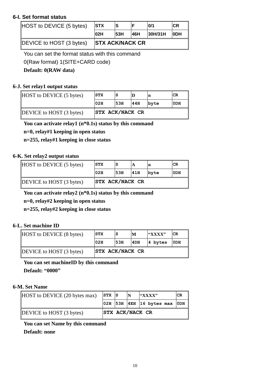#### **6-I. Set format status**

| $HOST$ to DEVICE (5 bytes) | <b>ISTX</b>            |            |     | 0/1     | <b>ICR</b>  |  |
|----------------------------|------------------------|------------|-----|---------|-------------|--|
|                            | 102H                   | <b>53H</b> | 46H | 30H/31H | <b>IODH</b> |  |
| DEVICE to HOST (3 bytes)   | <b>STX ACK/NACK CR</b> |            |     |         |             |  |

You can set the format status with this command

0(Raw format) 1(SITE+CARD code)

**Default: 0(RAW data)**

#### **6-J. Set relay1 output status**

| $HOST$ to DEVICE (5 bytes)        | <b>STX</b>             |     |     |              | CR.             |  |
|-----------------------------------|------------------------|-----|-----|--------------|-----------------|--|
|                                   | 02H                    | 53H | 44H | <b>b</b> vte | 0 <sub>DH</sub> |  |
| $\Delta$ DEVICE to HOST (3 bytes) | <b>STX ACK/NACK CR</b> |     |     |              |                 |  |

**You can activate relay1 (n\*0.1s) status by this command**

**n=0, relay#1 keeping in open status**

**n=255, relay#1 keeping in close status**

#### **6-K. Set relay2 output status**

| $HOST$ to DEVICE (5 bytes) | <b>STX</b>      |     |     |              | CR              |  |
|----------------------------|-----------------|-----|-----|--------------|-----------------|--|
|                            | 02H             | 53H | 41H | <b>b</b> vte | 0 <sub>DH</sub> |  |
| DEVICE to HOST (3 bytes)   | STX ACK/NACK CR |     |     |              |                 |  |

**You can activate relay2 (n\*0.1s) status by this command**

**n=0, relay#2 keeping in open status**

**n=255, relay#2 keeping in close status**

#### **6-L. Set machine ID**

| $HOST$ to DEVICE (8 bytes) | <b>STX</b>      | ۱S  | M               | $\mathbf{W}$ | ICR               |  |
|----------------------------|-----------------|-----|-----------------|--------------|-------------------|--|
|                            | 02H             | 53H | 4 <sub>DH</sub> | $ 4\>$ bytes | $\overline{O}$ DH |  |
| DEVICE to HOST (3 bytes)   | STX ACK/NACK CR |     |                 |              |                   |  |

#### **You can set machineID by this command Default: "0000"**

#### **6-M. Set Name**

| HOST to DEVICE (20 bytes max) | ISTX IS         |  | IN | "XXXX"                           | <b>CR</b> |  |  |  |
|-------------------------------|-----------------|--|----|----------------------------------|-----------|--|--|--|
|                               |                 |  |    | $ 02H $ 53H 4EH 16 bytes max 0DH |           |  |  |  |
| DEVICE to HOST (3 bytes)      | STX ACK/NACK CR |  |    |                                  |           |  |  |  |

**You can set Name by this command**

**Default: none**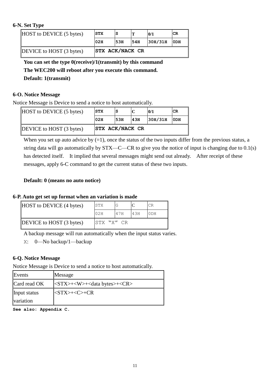#### **6-N. Set Type**

| $HOST$ to DEVICE (5 bytes) | <b>STX</b>      |      |     | O/1     | ICR |  |
|----------------------------|-----------------|------|-----|---------|-----|--|
|                            | 02H             | 153H | 54H | 30H/31H | ODH |  |
| DEVICE to HOST (3 bytes)   | STX ACK/NACK CR |      |     |         |     |  |

**You can set the type 0(receive)/1(transmit) by this command**

**The WEC200 will reboot after you execute this command. Default: 1(transmit)**

#### **6-O. Notice Message**

Notice Message is Device to send a notice to host automatically.

| $HOST$ to DEVICE (5 bytes)        | <b>STX</b>      | IS  |     | $\frac{0}{1}$ | CR   |  |  |  |
|-----------------------------------|-----------------|-----|-----|---------------|------|--|--|--|
|                                   | 102H            | 53H | 43H | 30H/31H       | l0DH |  |  |  |
| $\Delta$ DEVICE to HOST (3 bytes) | STX ACK/NACK CR |     |     |               |      |  |  |  |

When you set up auto advice by  $(=1)$ , once the status of the two inputs differ from the previous status, a string data will go automatically by STX—C—CR to give you the notice of input is changing due to 0.1(s) has detected itself. It implied that several messages might send out already. After receipt of these messages, apply 6-C command to get the current status of these two inputs.

#### **Default: 0 (means no auto notice)**

#### **6-P. Auto get set up format when an variation is made**

| $HOST$ to DEVICE (4 bytes) | STX         |      |     | ICR             |
|----------------------------|-------------|------|-----|-----------------|
|                            | 02H         | 147H | 43H | 0 <sub>DH</sub> |
| DEVICE to HOST (3 bytes)   | ISTX "X" CR |      |     |                 |

A backup message will run automatically when the input status varies.

X: 0—No backup/1—backup

#### **6-Q. Notice Message**

Notice Message is Device to send a notice to host automatically.

| Events       | Message                                                                                          |
|--------------|--------------------------------------------------------------------------------------------------|
| Card read OK | $ \langle STX \rangle + \langle W \rangle + \langle data \rangle$ bytes $> + \langle CR \rangle$ |
| Input status | $\leq$ STX>+ <c>+CR</c>                                                                          |
| variation    |                                                                                                  |

**See also: Appendix C.**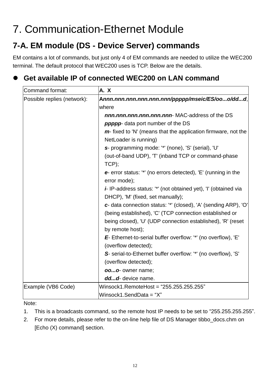## 7. Communication-Ethernet Module

### **7-A. EM module (DS - Device Server) commands**

EM contains a lot of commands, but just only 4 of EM commands are needed to utilize the WEC200 terminal. The default protocol that WEC200 uses is TCP. Below are the details.

### **Get available IP of connected WEC200 on LAN command**

| Command format:             | <b>A. X</b>                                                           |
|-----------------------------|-----------------------------------------------------------------------|
| Possible replies (network): | Annn.nnn.nnn.nnn.nnn.nnn/ppppp/mseic/ES/ooo/ddd,                      |
|                             | where                                                                 |
|                             | nnn.nnn.nnn.nnn.nnn.nnn-MAC-address of the DS                         |
|                             | <b>ppppp-</b> data port number of the DS                              |
|                             | <i>m</i> - fixed to 'N' (means that the application firmware, not the |
|                             | NetLoader is running)                                                 |
|                             | s- programming mode: '*' (none), 'S' (serial), 'U'                    |
|                             | (out-of-band UDP), 'T' (inband TCP or command-phase                   |
|                             | TCP);                                                                 |
|                             | e error status: "*' (no errors detected), 'E' (running in the         |
|                             | error mode);                                                          |
|                             | i- IP-address status: " (not obtained yet), 'I' (obtained via         |
|                             | DHCP), 'M' (fixed, set manually);                                     |
|                             | c- data connection status: "*' (closed), 'A' (sending ARP), 'O'       |
|                             | (being established), 'C' (TCP connection established or               |
|                             | being closed), 'U' (UDP connection established), 'R' (reset           |
|                             | by remote host);                                                      |
|                             | E- Ethernet-to-serial buffer overflow: "*' (no overflow), 'E'         |
|                             | (overflow detected);                                                  |
|                             | S- serial-to-Ethernet buffer overflow: "*' (no overflow), 'S'         |
|                             | (overflow detected);                                                  |
|                             | ooo- owner name;                                                      |
|                             | ddd- device name.                                                     |
| Example (VB6 Code)          | Winsock1.RemoteHost = "255.255.255.255"                               |
|                             | Winsock1.SendData = " $X$ "                                           |

Note:

- 1. This is a broadcasts command, so the remote host IP needs to be set to "255.255.255.255".
- 2. For more details, please refer to the on-line help file of DS Manager tibbo docs.chm on [Echo (X) command] section.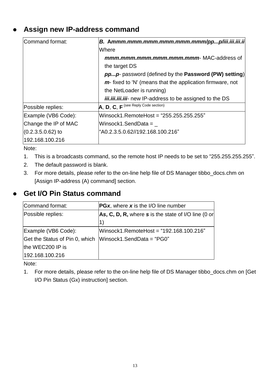### **Assign new IP-address command**

| Command format:      | B. Ammm.mmm.mmm.mmm.mmm.mmm/ppp/iii.iii.iii.ii                    |
|----------------------|-------------------------------------------------------------------|
|                      | Where                                                             |
|                      | mmm.mmm.mmm.mmm.mmm.mmmm-MAC-address of                           |
|                      | the target DS                                                     |
|                      | ppp- password (defined by the Password (PW) setting)              |
|                      | <i>m</i> - fixed to 'N' (means that the application firmware, not |
|                      | the NetLoader is running)                                         |
|                      | <i>iii.iii.iii.iii</i> - new IP-address to be assigned to the DS  |
| Possible replies:    | A, D, C, F <sup>(see Reply Code section)</sup>                    |
| Example (VB6 Code):  | Winsock1.RemoteHost = "255.255.255.255"                           |
| Change the IP of MAC | Winsock1.SendData =                                               |
| $(0.2.3.5.0.62)$ to  | "A0.2.3.5.0.62//192.168.100.216"                                  |
| 192.168.100.216      |                                                                   |

Note:

- 1. This is a broadcasts command, so the remote host IP needs to be set to "255.255.255.255".
- 2. The default password is blank.
- 3. For more details, please refer to the on-line help file of DS Manager tibbo\_docs.chm on [Assign IP-address (A) command] section.

### **Get I/O Pin Status command**

| Command format:                | <b>PGx</b> , where $x$ is the I/O line number           |
|--------------------------------|---------------------------------------------------------|
| Possible replies:              | $ As, C, D, R$ , where s is the state of I/O line (0 or |
|                                | 1)                                                      |
| Example (VB6 Code):            | Winsock1.RemoteHost = "192.168.100.216"                 |
| Get the Status of Pin 0, which | $Winsock1.SendData = "PG0"$                             |
| the WEC200 IP is               |                                                         |
| 192.168.100.216                |                                                         |

Note:

1. For more details, please refer to the on-line help file of DS Manager tibbo\_docs.chm on [Get I/O Pin Status (Gx) instruction] section.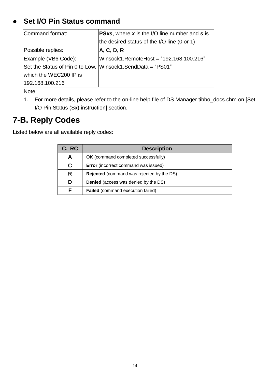### **Set I/O Pin Status command**

| Command format:                                            | <b>PSxs</b> , where $x$ is the I/O line number and $s$ is |
|------------------------------------------------------------|-----------------------------------------------------------|
|                                                            | the desired status of the I/O line (0 or 1)               |
| Possible replies:                                          | A, C, D, R                                                |
| Example (VB6 Code):                                        | Winsock1.RemoteHost = "192.168.100.216"                   |
| Set the Status of Pin 0 to Low, Winsock1.SendData = "PS01" |                                                           |
| which the WEC200 IP is                                     |                                                           |
| 192.168.100.216                                            |                                                           |

Note:

1. For more details, please refer to the on-line help file of DS Manager tibbo\_docs.chm on [Set I/O Pin Status (Sx) instruction] section.

### **7-B. Reply Codes**

Listed below are all available reply codes:

| C. RC | <b>Description</b>                          |
|-------|---------------------------------------------|
| A     | <b>OK</b> (command completed successfully)  |
| C     | <b>Error</b> (incorrect command was issued) |
| R     | Rejected (command was rejected by the DS)   |
| D     | <b>Denied</b> (access was denied by the DS) |
|       | <b>Failed</b> (command execution failed)    |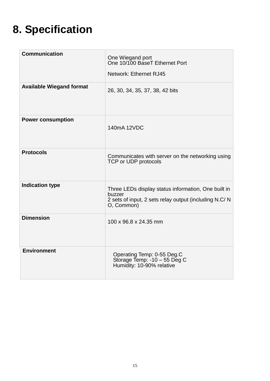## **8. Specification**

| <b>Communication</b>            | One Wiegand port<br>One 10/100 BaseT Ethernet Port<br><b>Network: Ethernet RJ45</b>                                                  |
|---------------------------------|--------------------------------------------------------------------------------------------------------------------------------------|
| <b>Available Wiegand format</b> | 26, 30, 34, 35, 37, 38, 42 bits                                                                                                      |
| <b>Power consumption</b>        | 140mA 12VDC                                                                                                                          |
| <b>Protocols</b>                | Communicates with server on the networking using<br><b>TCP or UDP protocols</b>                                                      |
| <b>Indication type</b>          | Three LEDs display status information, One built in<br>buzzer<br>2 sets of input, 2 sets relay output (including N.C/N<br>O, Common) |
| <b>Dimension</b>                | 100 x 96.8 x 24.35 mm                                                                                                                |
| <b>Environment</b>              | Operating Temp: 0-55 Deg.C<br>Storage Temp: $-10 - 55$ Deg C<br>Humidity: 10-90% relative                                            |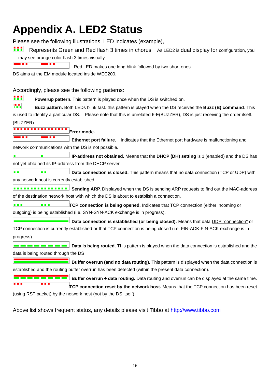## **Appendix A. LED2 Status**

Please see the following illustrations, LED indicates (example),

88 Represents Green and Red flash 3 times in chorus. As LED2 is dual display for [configuration,](http://tw.dictionary.yahoo.com/search?ei=UTF-8&p=configuration) you may see orange color flash 3 times visually.

> . . . Red LED makes one long blink followed by two short ones

DS aims at the EM module located inside WEC200.

mп

#### Accordingly, please see the following patterns:

88 **Powerup pattern.** This pattern is played once when the DS is switched on.

WW. **Buzz pattern.** Both LEDs blink fast. this pattern is played when the DS receives the **Buzz (B) command**. This is used to identify a particular DS. Please note that this is unrelated 6-E(BUZZER), DS is just receiving the order itself. (BUZZER).

............... **Error mode.**

**Ethernet port failure.** Indicates that the Ethernet port hardware is malfunctioning and network communications with the DS is not possible.

× **IP-address not obtained.** Means that the **DHCP (DH) setting** is 1 (enabled) and the DS has not yet obtained its IP-address from the DHCP server.

h. a a **Data connection is closed.** This pattern means that no data connection (TCP or UDP) with any network host is currently established.

**SECONDED ARP.** Displayed when the DS is sending ARP requests to find out the MAC-address of the destination network host with which the DS is about to establish a connection.

والمحاد **TCP connection is being opened.** Indicates that TCP connection (either incoming or 医血管 outgoing) is being established (i.e. SYN-SYN-ACK exchange is in progress).

**Data connection is established (or being closed).** Means that data UDP "connection" or TCP connection is currently established or that TCP connection is being closed (i.e. FIN-ACK-FIN-ACK exchange is in progress).

**Data is being routed.** This pattern is played when the data connection is established and the data is being routed through the DS

**Buffer overrun (and no data routing).** This pattern is displayed when the data connection is established and the routing buffer overrun has been detected (within the present data connection).

**Buffer Cover Covertion + data routing.** Data routing and overrun can be displayed at the same time. . . .

**TCP connection reset by the network host.** Means that the TCP connection has been reset (using RST packet) by the network host (not by the DS itself).

Above list shows frequent status, any details please visit Tibbo at [http://www.tibbo.com](http://www.tibbo.com/)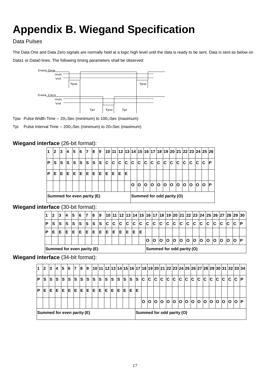## **Appendix B. Wiegand Specification**

#### Data Pulses

The Data One and Data Zero signals are normally held at a logic high level until the data is ready to be sent. Data is sent as below on Data1 or Data0 lines. The following timing parameters shall be observed:



Tpw Pulse Width Time --  $20\mu$ Sec (minimum) to  $100\mu$ Sec (maximum)

Tpi Pulse Interval Time -- 200µSec (minimum) to 20mSec (maximum)

#### **Wiegand interface** (26-bit format):

| 1                          | 2 | 3  | 14  | 15 | 6   | 17  | 18  | 19  |     |                               |     |   |   |    |    |    |   |    |   |    |    |    |           | 10  11  12  13  14  15  16  17  18  19  20  21  22  23  24  25  26 |    |
|----------------------------|---|----|-----|----|-----|-----|-----|-----|-----|-------------------------------|-----|---|---|----|----|----|---|----|---|----|----|----|-----------|--------------------------------------------------------------------|----|
| P                          | S | lS | lS. | lS | IS. | lS. | IS. | S C |     | c c c c c c c c c c c c c c c |     |   |   |    |    |    |   |    |   |    |    |    | <b>IC</b> | <b>IC P</b>                                                        |    |
| P                          | Е | E  | IE. | ΙE | IE. | IE. | IE. | IE. | IE. | IE.                           | IE. | F |   |    |    |    |   |    |   |    |    |    |           |                                                                    |    |
|                            |   |    |     |    |     |     |     |     |     |                               |     |   | O | ΙO | ΙO | ΙO | Ю | lO | O | ΙO | lO | IO | ΙO        | O                                                                  | IP |
| Summed for even parity (E) |   |    |     |    |     |     |     |     |     | Summed for odd parity (O)     |     |   |   |    |    |    |   |    |   |    |    |    |           |                                                                    |    |

#### **Wiegand interface** (30-bit format):

|   | 12                         | 13  | 14 | 15 | 16 |     | 8   | 19  |           |           |     |       |    |                         |             |                         |    |                           |     |                         |          |           |          |     |           |           |    |   | 10  11  12  13  14  15  16  17  18  19  20  21  22  23  24  25  26  27  28  29  30 |
|---|----------------------------|-----|----|----|----|-----|-----|-----|-----------|-----------|-----|-------|----|-------------------------|-------------|-------------------------|----|---------------------------|-----|-------------------------|----------|-----------|----------|-----|-----------|-----------|----|---|------------------------------------------------------------------------------------|
| P | lS                         | lS  | lS | IS | Is | lS  | IS. | lS. | <b>IC</b> | <b>IC</b> |     | C C C |    | $\overline{\mathbf{C}}$ | $ {\bf C} $ | $\overline{\mathbf{C}}$ |    | C C C                     |     | $ {\bf C} $ $ {\bf C} $ |          | <b>IC</b> | IC.      | IC. | <b>IC</b> | <b>IC</b> |    | C | IP                                                                                 |
| P | E                          | IE. | ΙE | ΙE | ΙE | IE. | IΕ  | IE  | IE.       | IE        | IE. | ΙE    | IE | E                       |             |                         |    |                           |     |                         |          |           |          |     |           |           |    |   |                                                                                    |
|   |                            |     |    |    |    |     |     |     |           |           |     |       |    |                         | ۱O          | <b>O</b>                | lO | lO.                       | lO. | IO.                     | <b>O</b> | lO.       | <b>O</b> | lO  | <b>O</b>  | lO        | lO | O | IP)                                                                                |
|   | Summed for even parity (E) |     |    |    |    |     |     |     |           |           |     |       |    |                         |             |                         |    | Summed for odd parity (O) |     |                         |          |           |          |     |           |           |    |   |                                                                                    |

#### **Wiegand interface** (34-bit format):

| 11                         | 12 | 13 | 4  | 15  | -6  | 17  | 18  | 19 |     |     | 10  11  12  13  14  15  16  17  18  19  20  21  22  23  24  25  26  27  28  29  30  31  32  33  34 |          |     |    |     |          |                           |     |           |              |  |       |    |     |          |     |           |    |             |     |           |
|----------------------------|----|----|----|-----|-----|-----|-----|----|-----|-----|----------------------------------------------------------------------------------------------------|----------|-----|----|-----|----------|---------------------------|-----|-----------|--------------|--|-------|----|-----|----------|-----|-----------|----|-------------|-----|-----------|
| IP                         | ۱S | lS | IS | IS  | lS  | lS  | ۱S  | IS | IS  | lS. | IS.                                                                                                | <b>S</b> | lS. | IS | lS. | <b>S</b> | IC.                       | IC. | <b>IC</b> | C C          |  | C C C |    | IC. | C C      | IC. | <b>IC</b> | ΙC | IC.         | IC. | IP.       |
| IP                         | E  | ΙE | lΕ | IE. | IE. | IE. | IE. | IE | IE. | E E |                                                                                                    | IE.      | IE. | IE | IE. | IE.      |                           |     |           |              |  |       |    |     |          |     |           |    |             |     |           |
|                            |    |    |    |     |     |     |     |    |     |     |                                                                                                    |          |     |    |     |          | ΙO                        | 0 0 |           | <b>10 10</b> |  | O     | lO | lO. | 10 10 10 |     | lO.       | ΙO | $ O $ $ O $ |     | <b>IP</b> |
| Summed for even parity (E) |    |    |    |     |     |     |     |    |     |     |                                                                                                    |          |     |    |     |          | Summed for odd parity (O) |     |           |              |  |       |    |     |          |     |           |    |             |     |           |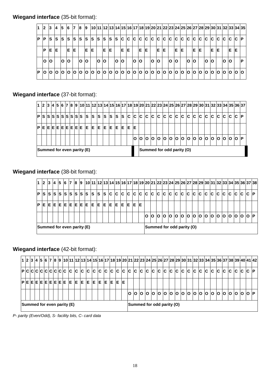#### **Wiegand interface** (35-bit format):

| $1 \quad 2$ |    | 13    | 14 | 15 | 16 | 17 | 18    | 19 |         |   |     |    |     |     |     |    |                         |   |    |    |    |    | 10 11  12 13 14 15 16 17 18 19 20 21 22 23 24 25 26 27 28 29 30 31 32 33 34 35 |     |    |    |   |     |     |     |             |   |     |           |
|-------------|----|-------|----|----|----|----|-------|----|---------|---|-----|----|-----|-----|-----|----|-------------------------|---|----|----|----|----|--------------------------------------------------------------------------------|-----|----|----|---|-----|-----|-----|-------------|---|-----|-----------|
| $P$ $P$     |    | IS    | IS | IS | IS | IS | IS.   |    | S S S S |   |     | 'S | IS. |     |     |    | IC IC IC IC IC IC IC IC |   |    |    |    |    | C C C C C C                                                                    |     |    |    |   | IC. | IC. | IC. | C C C       |   |     | -lP       |
|             | IP | E     | E  |    | ΙE | ΙE |       | ΙE | E       |   | ΙE  | ΙE |     | ΙE  | IE. |    | ΙE                      | E |    | ΙE | ΙE |    | ΙE                                                                             | IE. |    | ΙE | E |     | ΙE  | ΙE  |             | E | IE. |           |
|             | O  | ΙO    |    | ΙO | ΙO |    | lo lo |    |         | O | lO. |    | lO  | lO. |     | lo | lO.                     |   | ۱O | ΙO |    | lO | lO.                                                                            |     | lo | ΙO |   | ΙO  | lO  |     | IO IO       |   |     | <b>IP</b> |
| IP IO       |    | lo lo |    | lO | ΙO | lO |       |    |         |   |     |    |     |     |     |    |                         |   |    |    |    |    |                                                                                |     |    |    |   | lO. | ΙO  | ΙO  | 10 10 10 10 |   |     |           |

#### **Wiegand interface** (37-bit format):

| 1 2     |                            |      |  |  |  |  |  |  |  |  |                             |  |     |     |     |     |     |                           |                |  |  |                                               |  |  |  |       |                |     | 3  4  5  6  7  8  9  10 11  12 13 14 15 16 17 18 19 20 21 22 23 24 25 26 27 28 29 30 31 32 33 34 35 36 37 |
|---------|----------------------------|------|--|--|--|--|--|--|--|--|-----------------------------|--|-----|-----|-----|-----|-----|---------------------------|----------------|--|--|-----------------------------------------------|--|--|--|-------|----------------|-----|-----------------------------------------------------------------------------------------------------------|
| $P$ S   |                            |      |  |  |  |  |  |  |  |  | S S S S S S S S S S S S S S |  |     |     |     |     |     |                           |                |  |  |                                               |  |  |  |       | IC.            | C P |                                                                                                           |
| $P$ $E$ |                            | IE I |  |  |  |  |  |  |  |  | EEEEEEEEE E E               |  | IE. | IE. | IE. | IE. | IE. | E                         |                |  |  |                                               |  |  |  |       |                |     |                                                                                                           |
|         |                            |      |  |  |  |  |  |  |  |  |                             |  |     |     |     |     |     | ΙO                        | $\overline{O}$ |  |  | <u> 0  0  0  0  0  0  0  0  0  0  0  0  0</u> |  |  |  | lo lo | $IO$ $IO$ $IP$ |     |                                                                                                           |
|         | Summed for even parity (E) |      |  |  |  |  |  |  |  |  |                             |  |     |     |     |     |     | Summed for odd parity (O) |                |  |  |                                               |  |  |  |       |                |     |                                                                                                           |

#### **Wiegand interface** (38-bit format):

| <u>11 12 1</u>             | -13 | 14 | 15 | 6 7 |  | - 18 | 19 |  |  |  |  |  |  |  |                           |  |  |  |  |  |  |  | 10  11  12  13  14  15  16  17  18  19  20  21  22  23  24  25  26  27  28  29  30  31  32  33  34  35  36  37 |  |  |
|----------------------------|-----|----|----|-----|--|------|----|--|--|--|--|--|--|--|---------------------------|--|--|--|--|--|--|--|----------------------------------------------------------------------------------------------------------------|--|--|
| P'S'S                      |     |    |    |     |  |      |    |  |  |  |  |  |  |  |                           |  |  |  |  |  |  |  |                                                                                                                |  |  |
| EEE                        |     |    |    |     |  |      |    |  |  |  |  |  |  |  |                           |  |  |  |  |  |  |  |                                                                                                                |  |  |
|                            |     |    |    |     |  |      |    |  |  |  |  |  |  |  |                           |  |  |  |  |  |  |  |                                                                                                                |  |  |
| Summed for even parity (E) |     |    |    |     |  |      |    |  |  |  |  |  |  |  | Summed for odd parity (O) |  |  |  |  |  |  |  |                                                                                                                |  |  |

#### **Wiegand interface** (42-bit format):

|                            |  |  |  |  |  |  |  |  |  |  |  |                                          |  |  |                           |    |  |  |  |  |  |  |  |  |  |  | 1 2 3 4 5 6 7 8 9 10 11 12 13 14 15 16 17 18 19 20 21 22 23 24 25 26 27 28 29 30 31 32 33 34 35 36 37 38 39 40 41 42 |
|----------------------------|--|--|--|--|--|--|--|--|--|--|--|------------------------------------------|--|--|---------------------------|----|--|--|--|--|--|--|--|--|--|--|----------------------------------------------------------------------------------------------------------------------|
|                            |  |  |  |  |  |  |  |  |  |  |  |                                          |  |  |                           |    |  |  |  |  |  |  |  |  |  |  |                                                                                                                      |
|                            |  |  |  |  |  |  |  |  |  |  |  | <u>  PEEEEEEEEEEE EE EEEEEEEEEEEEEEE</u> |  |  |                           |    |  |  |  |  |  |  |  |  |  |  |                                                                                                                      |
|                            |  |  |  |  |  |  |  |  |  |  |  |                                          |  |  |                           | ΙO |  |  |  |  |  |  |  |  |  |  |                                                                                                                      |
| Summed for even parity (E) |  |  |  |  |  |  |  |  |  |  |  |                                          |  |  | Summed for odd parity (O) |    |  |  |  |  |  |  |  |  |  |  |                                                                                                                      |

*P- parity (Even/Odd), S- facility bits, C- card data*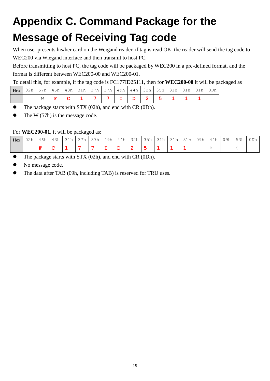# **Appendix C. Command Package for the Message of Receiving Tag code**

When user presents his/her card on the Weigand reader, if tag is read OK, the reader will send the tag code to WEC200 via Wiegand interface and then transmit to host PC.

Before transmitting to host PC, the tag code will be packaged by WEC200 in a pre-defined format, and the format is different between WEC200-00 and WEC200-01.

To detail this, for example, if the tag code is FC177ID25111, then for **WEC200-00** it will be packaged as

| Hex 02h   57h   46h   43h   31h   37h   37h   49h   44h   32h   35h   31h   31h   31h   0Dh |  |  |  |  |                     |  |  |  |
|---------------------------------------------------------------------------------------------|--|--|--|--|---------------------|--|--|--|
|                                                                                             |  |  |  |  | $\cdot$   2   5   1 |  |  |  |

- The package starts with STX (02h), and end with CR (0Dh).
- The W (57h) is the message code.

For **WEC200-01**, it will be packaged as:

|  | Hex 02h   46h   43h   31h   37h   37h   49h   44h   32h   35h   31h   31h   31h   09h   44h   09h   53h   0Dh |  |  |  |  |  |  |  |  |
|--|---------------------------------------------------------------------------------------------------------------|--|--|--|--|--|--|--|--|
|  |                                                                                                               |  |  |  |  |  |  |  |  |

- The package starts with STX (02h), and end with CR (0Dh).
- No message code.
- The data after TAB (09h, including TAB) is reserved for TRU uses.